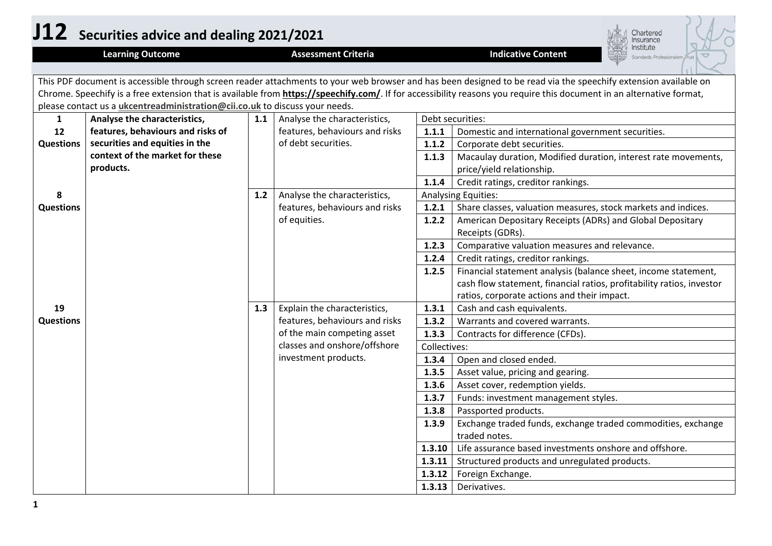|                  | J12 Securities advice and dealing 2021/2021<br>Chartered<br>nsurance                                                                                            |                                                                   |                                |              |                                                                                                                                                                       |  |  |
|------------------|-----------------------------------------------------------------------------------------------------------------------------------------------------------------|-------------------------------------------------------------------|--------------------------------|--------------|-----------------------------------------------------------------------------------------------------------------------------------------------------------------------|--|--|
|                  | <b>Learning Outcome</b>                                                                                                                                         |                                                                   | <b>Assessment Criteria</b>     |              | nstitute<br><b>Indicative Content</b><br>Itandards Professionalism Trust                                                                                              |  |  |
|                  | This PDF document is accessible through screen reader attachments to your web browser and has been designed to be read via the speechify extension available on |                                                                   |                                |              |                                                                                                                                                                       |  |  |
|                  |                                                                                                                                                                 |                                                                   |                                |              | Chrome. Speechify is a free extension that is available from https://speechify.com/. If for accessibility reasons you require this document in an alternative format, |  |  |
|                  | please contact us a <i>ukcentreadministration@cii.co.uk</i> to discuss your needs.                                                                              |                                                                   |                                |              |                                                                                                                                                                       |  |  |
| $\mathbf{1}$     | Analyse the characteristics,                                                                                                                                    | 1.1                                                               | Analyse the characteristics,   |              | Debt securities:                                                                                                                                                      |  |  |
| 12               | features, behaviours and risks of                                                                                                                               |                                                                   | features, behaviours and risks | 1.1.1        | Domestic and international government securities.                                                                                                                     |  |  |
| <b>Questions</b> | securities and equities in the                                                                                                                                  |                                                                   | of debt securities.            | 1.1.2        | Corporate debt securities.                                                                                                                                            |  |  |
|                  | context of the market for these                                                                                                                                 |                                                                   |                                | 1.1.3        | Macaulay duration, Modified duration, interest rate movements,                                                                                                        |  |  |
|                  | products.                                                                                                                                                       |                                                                   |                                |              | price/yield relationship.                                                                                                                                             |  |  |
|                  |                                                                                                                                                                 |                                                                   |                                | 1.1.4        | Credit ratings, creditor rankings.                                                                                                                                    |  |  |
| 8                |                                                                                                                                                                 | Analyse the characteristics,<br>1.2<br><b>Analysing Equities:</b> |                                |              |                                                                                                                                                                       |  |  |
| <b>Questions</b> |                                                                                                                                                                 |                                                                   | features, behaviours and risks | 1.2.1        | Share classes, valuation measures, stock markets and indices.                                                                                                         |  |  |
|                  |                                                                                                                                                                 |                                                                   | of equities.                   | 1.2.2        | American Depositary Receipts (ADRs) and Global Depositary                                                                                                             |  |  |
|                  |                                                                                                                                                                 |                                                                   |                                |              | Receipts (GDRs).                                                                                                                                                      |  |  |
|                  |                                                                                                                                                                 |                                                                   |                                | 1.2.3        | Comparative valuation measures and relevance.                                                                                                                         |  |  |
|                  |                                                                                                                                                                 |                                                                   |                                | 1.2.4        | Credit ratings, creditor rankings.                                                                                                                                    |  |  |
|                  |                                                                                                                                                                 |                                                                   |                                | 1.2.5        | Financial statement analysis (balance sheet, income statement,                                                                                                        |  |  |
|                  |                                                                                                                                                                 |                                                                   |                                |              | cash flow statement, financial ratios, profitability ratios, investor                                                                                                 |  |  |
|                  |                                                                                                                                                                 |                                                                   |                                |              | ratios, corporate actions and their impact.                                                                                                                           |  |  |
| 19               |                                                                                                                                                                 | 1.3                                                               | Explain the characteristics,   | 1.3.1        | Cash and cash equivalents.                                                                                                                                            |  |  |
| <b>Questions</b> |                                                                                                                                                                 |                                                                   | features, behaviours and risks | 1.3.2        | Warrants and covered warrants.                                                                                                                                        |  |  |
|                  |                                                                                                                                                                 |                                                                   | of the main competing asset    | 1.3.3        | Contracts for difference (CFDs).                                                                                                                                      |  |  |
|                  |                                                                                                                                                                 |                                                                   | classes and onshore/offshore   | Collectives: |                                                                                                                                                                       |  |  |
|                  |                                                                                                                                                                 |                                                                   | investment products.           | 1.3.4        | Open and closed ended.                                                                                                                                                |  |  |
|                  |                                                                                                                                                                 |                                                                   |                                | 1.3.5        | Asset value, pricing and gearing.                                                                                                                                     |  |  |
|                  |                                                                                                                                                                 |                                                                   |                                | 1.3.6        | Asset cover, redemption yields.                                                                                                                                       |  |  |
|                  |                                                                                                                                                                 |                                                                   |                                | 1.3.7        | Funds: investment management styles.                                                                                                                                  |  |  |
|                  |                                                                                                                                                                 |                                                                   |                                | 1.3.8        | Passported products.                                                                                                                                                  |  |  |
|                  |                                                                                                                                                                 |                                                                   |                                | 1.3.9        | Exchange traded funds, exchange traded commodities, exchange                                                                                                          |  |  |
|                  |                                                                                                                                                                 |                                                                   |                                |              | traded notes.                                                                                                                                                         |  |  |
|                  |                                                                                                                                                                 |                                                                   |                                | 1.3.10       | Life assurance based investments onshore and offshore.                                                                                                                |  |  |
|                  |                                                                                                                                                                 |                                                                   |                                | 1.3.11       | Structured products and unregulated products.                                                                                                                         |  |  |
|                  |                                                                                                                                                                 |                                                                   |                                | 1.3.12       | Foreign Exchange.                                                                                                                                                     |  |  |
|                  |                                                                                                                                                                 |                                                                   |                                | 1.3.13       | Derivatives.                                                                                                                                                          |  |  |

**1**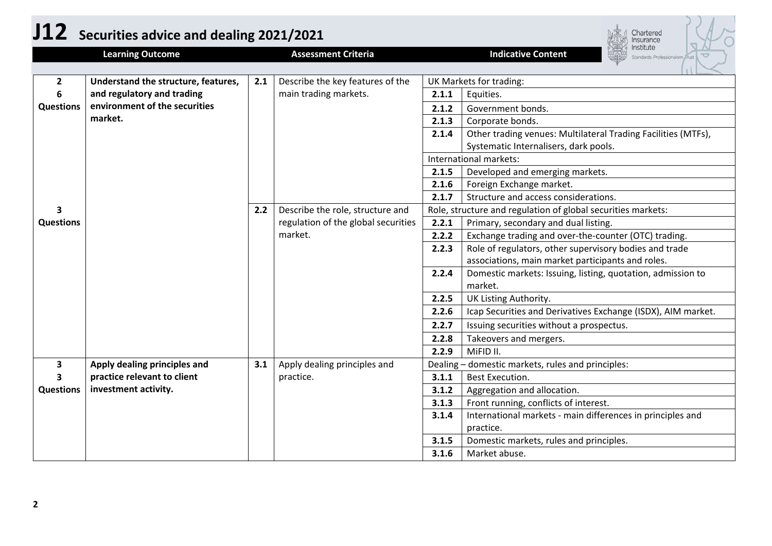|                  | J12 Securities advice and dealing 2021/2021         |                                         |                                                |                | Chartered<br>nsurance                                                     |  |  |
|------------------|-----------------------------------------------------|-----------------------------------------|------------------------------------------------|----------------|---------------------------------------------------------------------------|--|--|
|                  | <b>Learning Outcome</b>                             |                                         | <b>Assessment Criteria</b>                     |                | nstitute<br><b>Indicative Content</b><br>tandards. Professionalism. Trust |  |  |
| $\mathbf{2}$     | Understand the structure, features,                 | Describe the key features of the<br>2.1 |                                                |                | UK Markets for trading:                                                   |  |  |
| 6                | and regulatory and trading                          |                                         | main trading markets.                          | 2.1.1          | Equities.                                                                 |  |  |
| <b>Questions</b> | environment of the securities<br>market.            |                                         |                                                | 2.1.2          | Government bonds.                                                         |  |  |
|                  |                                                     |                                         |                                                | 2.1.3          | Corporate bonds.                                                          |  |  |
|                  |                                                     |                                         |                                                | 2.1.4          | Other trading venues: Multilateral Trading Facilities (MTFs),             |  |  |
|                  |                                                     |                                         |                                                |                | Systematic Internalisers, dark pools.                                     |  |  |
|                  |                                                     |                                         |                                                |                | International markets:                                                    |  |  |
|                  |                                                     |                                         |                                                | 2.1.5          | Developed and emerging markets.                                           |  |  |
|                  |                                                     |                                         |                                                | 2.1.6          | Foreign Exchange market.                                                  |  |  |
|                  |                                                     |                                         |                                                | 2.1.7          | Structure and access considerations.                                      |  |  |
| 3                |                                                     | 2.2                                     | Describe the role, structure and               |                | Role, structure and regulation of global securities markets:              |  |  |
| <b>Questions</b> |                                                     |                                         | regulation of the global securities<br>market. | 2.2.1          | Primary, secondary and dual listing.                                      |  |  |
|                  |                                                     |                                         |                                                | 2.2.2          | Exchange trading and over-the-counter (OTC) trading.                      |  |  |
|                  |                                                     |                                         |                                                | 2.2.3          | Role of regulators, other supervisory bodies and trade                    |  |  |
|                  |                                                     |                                         |                                                |                | associations, main market participants and roles.                         |  |  |
|                  |                                                     |                                         |                                                | 2.2.4          | Domestic markets: Issuing, listing, quotation, admission to               |  |  |
|                  |                                                     |                                         |                                                |                | market.                                                                   |  |  |
|                  |                                                     |                                         |                                                | 2.2.5          | UK Listing Authority.                                                     |  |  |
|                  |                                                     |                                         |                                                | 2.2.6          | Icap Securities and Derivatives Exchange (ISDX), AIM market.              |  |  |
|                  |                                                     |                                         |                                                | 2.2.7          | Issuing securities without a prospectus.                                  |  |  |
|                  |                                                     |                                         |                                                | 2.2.8          | Takeovers and mergers.                                                    |  |  |
|                  |                                                     |                                         |                                                | 2.2.9          | MiFID II.                                                                 |  |  |
| 3                | Apply dealing principles and                        | 3.1                                     | Apply dealing principles and<br>practice.      |                | Dealing - domestic markets, rules and principles:                         |  |  |
| 3                | practice relevant to client<br>investment activity. |                                         |                                                | 3.1.1<br>3.1.2 | Best Execution.                                                           |  |  |
| <b>Questions</b> |                                                     |                                         |                                                | 3.1.3          | Aggregation and allocation.<br>Front running, conflicts of interest.      |  |  |
|                  |                                                     |                                         |                                                | 3.1.4          | International markets - main differences in principles and                |  |  |
|                  |                                                     |                                         |                                                |                | practice.                                                                 |  |  |
|                  |                                                     |                                         |                                                | 3.1.5          | Domestic markets, rules and principles.                                   |  |  |
|                  |                                                     |                                         |                                                | 3.1.6          | Market abuse.                                                             |  |  |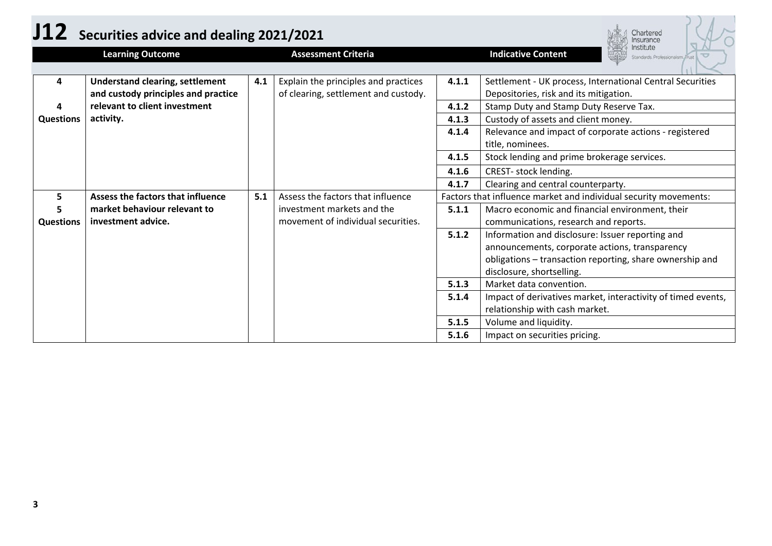| J12              | Securities advice and dealing 2021/2021<br>Chartered<br>nsurance              |     |                                                                              |       |                                                                                                                                                                                             |  |
|------------------|-------------------------------------------------------------------------------|-----|------------------------------------------------------------------------------|-------|---------------------------------------------------------------------------------------------------------------------------------------------------------------------------------------------|--|
|                  | <b>Learning Outcome</b>                                                       |     | <b>Assessment Criteria</b>                                                   |       | nstitute<br><b>Indicative Content</b><br>Standards. Professionalism. Trust                                                                                                                  |  |
| 4                | <b>Understand clearing, settlement</b><br>and custody principles and practice | 4.1 | Explain the principles and practices<br>of clearing, settlement and custody. | 4.1.1 | Settlement - UK process, International Central Securities<br>Depositories, risk and its mitigation.                                                                                         |  |
|                  | relevant to client investment                                                 |     |                                                                              | 4.1.2 | Stamp Duty and Stamp Duty Reserve Tax.                                                                                                                                                      |  |
| <b>Questions</b> | activity.                                                                     |     |                                                                              | 4.1.3 | Custody of assets and client money.                                                                                                                                                         |  |
|                  |                                                                               |     |                                                                              | 4.1.4 | Relevance and impact of corporate actions - registered<br>title, nominees.                                                                                                                  |  |
|                  |                                                                               |     |                                                                              | 4.1.5 | Stock lending and prime brokerage services.                                                                                                                                                 |  |
|                  |                                                                               |     |                                                                              | 4.1.6 | CREST- stock lending.                                                                                                                                                                       |  |
|                  |                                                                               |     |                                                                              | 4.1.7 | Clearing and central counterparty.                                                                                                                                                          |  |
| 5                | Assess the factors that influence                                             | 5.1 | Assess the factors that influence                                            |       | Factors that influence market and individual security movements:                                                                                                                            |  |
| <b>Questions</b> | market behaviour relevant to<br>investment advice.                            |     | investment markets and the<br>movement of individual securities.             | 5.1.1 | Macro economic and financial environment, their<br>communications, research and reports.                                                                                                    |  |
|                  |                                                                               |     |                                                                              | 5.1.2 | Information and disclosure: Issuer reporting and<br>announcements, corporate actions, transparency<br>obligations - transaction reporting, share ownership and<br>disclosure, shortselling. |  |
|                  |                                                                               |     |                                                                              | 5.1.3 | Market data convention.                                                                                                                                                                     |  |
|                  |                                                                               |     |                                                                              | 5.1.4 | Impact of derivatives market, interactivity of timed events,<br>relationship with cash market.                                                                                              |  |
|                  |                                                                               |     |                                                                              | 5.1.5 | Volume and liquidity.                                                                                                                                                                       |  |
|                  |                                                                               |     |                                                                              | 5.1.6 | Impact on securities pricing.                                                                                                                                                               |  |